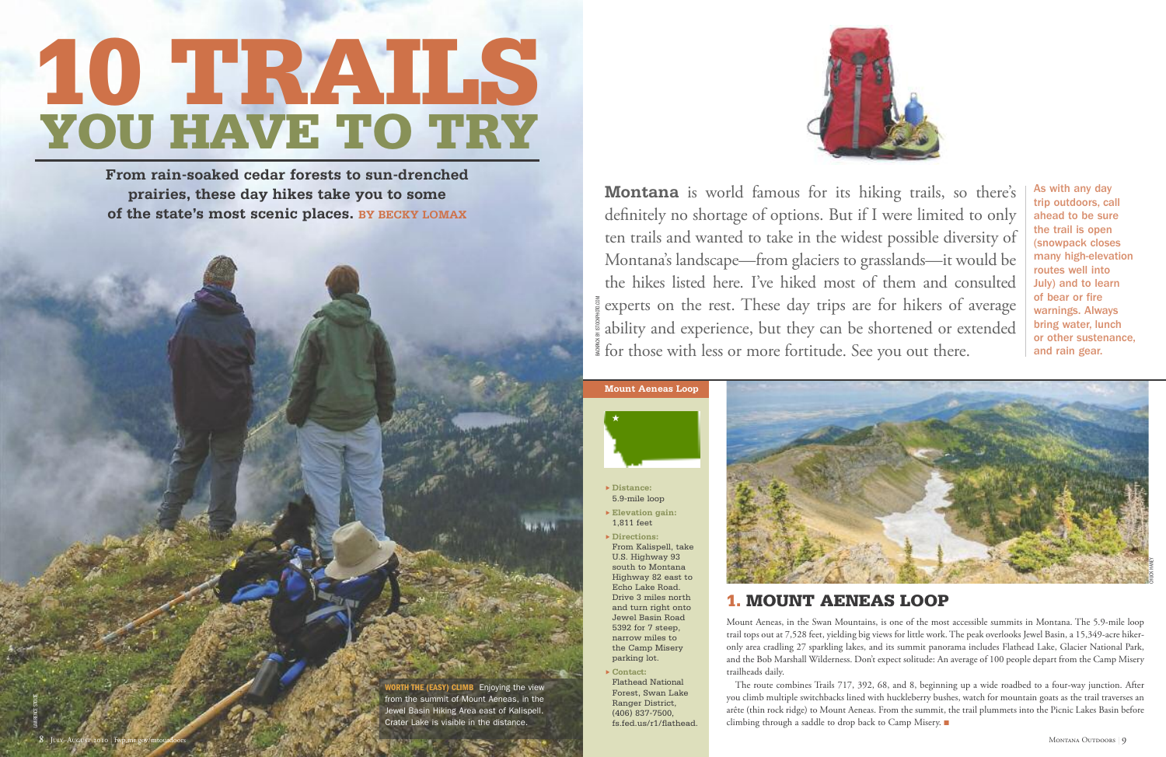**Montana** is world famous for its hiking trails, so there's definitely no shortage of options. But if I were limited to only ten trails and wanted to take in the widest possible diversity of Montana's landscape—from glaciers to grasslands—it would be the hikes listed here. I've hiked most of them and consulted experts on the rest. These day trips are for hikers of average warnings. Alw<br>ability and experience, but they can be shortened or extended bring water, lu<br>and rain gear. ability and experience, but they can be shortened or extended for those with less or more fortitude. See you out there.

# **10 TRAILS YOU HAVE TO TRY**

**From rain-soaked cedar forests to sun-drenched prairies, these day hikes take you to some of the state's most scenic places. BY BECKY LOMAX**



The route combines Trails 717, 392, 68, and 8, beginning up a wide roadbed to a four-way junction. After you climb multiple switchbacks lined with huckleberry bushes, watch for mountain goats as the trail traverses an arête (thin rock ridge) to Mount Aeneas. From the summit, the trail plummets into the Picnic Lakes Basin before climbing through a saddle to drop back to Camp Misery.

- **Distance:** 5.9-mile loop
- **Elevation gain:** 1,811 feet
- **Directions:** From Kalispell, take U.S. Highway 93 south to Montana Highway 82 east to Echo Lake Road. Drive 3 miles north and turn right onto Jewel Basin Road 5392 for 7 steep, narrow miles to the Camp Misery parking lot.
- **Contact:** Flathead National Forest, Swan Lake Ranger District, (406) 837-7500, fs.fed.us/r1/flathead.

# **1. MOUNT AENEAS LOOP**

Mount Aeneas, in the Swan Mountains, is one of the most accessible summits in Montana. The 5.9-mile loop trail tops out at 7,528 feet, yielding big views for little work. The peak overlooks Jewel Basin, a 15,349-acre hikeronly area cradling 27 sparkling lakes, and its summit panorama includes Flathead Lake, Glacier National Park, and the Bob Marshall Wilderness. Don't expect solitude: An average of 100 people depart from the Camp Misery trailheads daily.





LAWRENCE STOLTE

As with any day trip outdoors, call ahead to be sure the trail is open (snowpack closes many high-elevation routes well into July) and to learn of bear or fire warnings. Always bring water, lunch or other sustenance,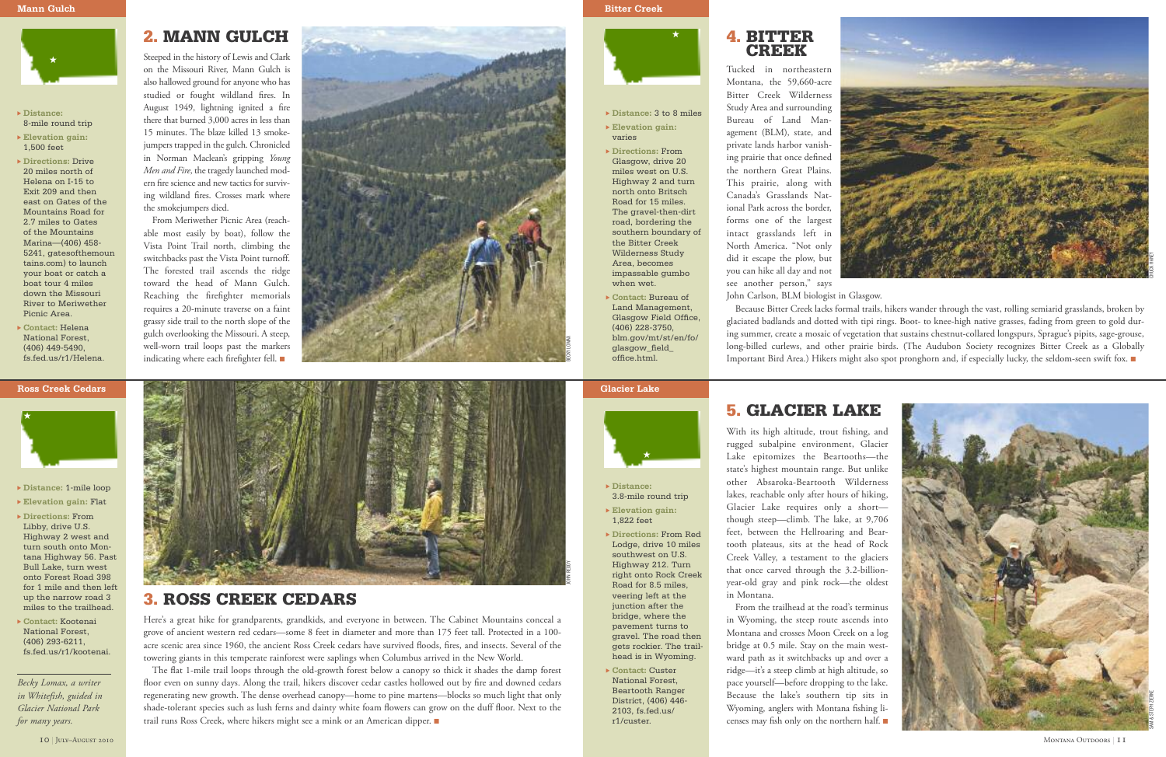- **Distance:** 3.8-mile round trip
- **Elevation gain:** 1,822 feet
- **Directions:** From Red Lodge, drive 10 miles southwest on U.S. Highway 212. Turn right onto Rock Creek Road for 8.5 miles, veering left at the junction after the bridge, where the pavement turns to gravel. The road then gets rockier. The trailhead is in Wyoming.
- **Contact:** Custer National Forest, Beartooth Ranger District, (406) 446- 2103, fs.fed.us/ r1/custer.

# **5. GLACIER LAKE**

From the trailhead at the road's terminus in Wyoming, the steep route ascends into Montana and crosses Moon Creek on a log bridge at 0.5 mile. Stay on the main westward path as it switchbacks up and over a ridge—it's a steep climb at high altitude, so pace yourself—before dropping to the lake. Because the lake's southern tip sits in Wyoming, anglers with Montana fishing licenses may fish only on the northern half.  $\square$ 



With its high altitude, trout fishing, and rugged subalpine environment, Glacier Lake epitomizes the Beartooths—the state's highest mountain range. But unlike other Absaroka-Beartooth Wilderness lakes, reachable only after hours of hiking, Glacier Lake requires only a short though steep—climb. The lake, at 9,706 feet, between the Hellroaring and Beartooth plateaus, sits at the head of Rock Creek Valley, a testament to the glaciers that once carved through the 3.2-billionyear-old gray and pink rock—the oldest in Montana.

Because Bitter Creek lacks formal trails, hikers wander through the vast, rolling semiarid grasslands, broken by glaciated badlands and dotted with tipi rings. Boot- to knee-high native grasses, fading from green to gold during summer, create a mosaic of vegetation that sustains chestnut-collared longspurs, Sprague's pipits, sage-grouse, long-billed curlews, and other prairie birds. (The Audubon Society recognizes Bitter Creek as a Globally Important Bird Area.) Hikers might also spot pronghorn and, if especially lucky, the seldom-seen swift fox.

**Glacier Lake**

- **Distance:** 3 to 8 miles **Elevation gain:** varies
- **Directions:** From Glasgow, drive 20 miles west on U.S. Highway 2 and turn north onto Britsch Road for 15 miles. The gravel-then-dirt road, bordering the southern boundary of the Bitter Creek Wilderness Study Area, becomes impassable gumbo when wet.
- **Contact:** Bureau of Land Management, Glasgow Field Office, (406) 228-3750, blm.gov/mt/st/en/fo/ glasgow\_field\_ office.html.

The flat 1-mile trail loops through the old-growth forest below a canopy so thick it shades the damp forest floor even on sunny days. Along the trail, hikers discover cedar castles hollowed out by fire and downed cedars regenerating new growth. The dense overhead canopy—home to pine martens—blocks so much light that only shade-tolerant species such as lush ferns and dainty white foam flowers can grow on the duff floor. Next to the trail runs Ross Creek, where hikers might see a mink or an American dipper.

### **4. BITTER CREEK**

Tucked in northeastern Montana, the 59,660-acre Bitter Creek Wilderness Study Area and surrounding Bureau of Land Management (BLM), state, and private lands harbor vanishing prairie that once defined the northern Great Plains. This prairie, along with Canada's Grasslands National Park across the border, forms one of the largest intact grasslands left in North America. "Not only did it escape the plow, but you can hike all day and not see another person," says

John Carlson, BLM biologist in Glasgow.

From Meriwether Picnic Area (reachable most easily by boat), follow the Vista Point Trail north, climbing the switchbacks past the Vista Point turnoff. The forested trail ascends the ridge toward the head of Mann Gulch. Reaching the firefighter memorials requires a 20-minute traverse on a faint grassy side trail to the north slope of the gulch overlooking the Missouri. A steep, well-worn trail loops past the markers indicating where each firefighter fell.  $\blacksquare$ 

- **Distance:** 1-mile loop
- **Elevation gain:** Flat
- **Directions:** From Libby, drive U.S. Highway 2 west and turn south onto Montana Highway 56. Past Bull Lake, turn west onto Forest Road 398 for 1 mile and then left up the narrow road 3 miles to the trailhead.
- **Contact:** Kootenai National Forest, (406) 293-6211, fs.fed.us/r1/kootenai.

## **3. ROSS CREEK CEDARS**

Here's a great hike for grandparents, grandkids, and everyone in between. The Cabinet Mountains conceal a grove of ancient western red cedars—some 8 feet in diameter and more than 175 feet tall. Protected in a 100 acre scenic area since 1960, the ancient Ross Creek cedars have survived floods, fires, and insects. Several of the towering giants in this temperate rainforest were saplings when Columbus arrived in the New World.

### **Ross Creek Cedars**

- **Distance:** 8-mile round trip
- **Elevation gain:** 1,500 feet
- **Directions:** Drive 20 miles north of Helena on I-15 to Exit 209 and then east on Gates of the Mountains Road for 2.7 miles to Gates of the Mountains Marina—(406) 458- 5241, gatesofthemoun tains.com) to launch your boat or catch a boat tour 4 miles down the Missouri River to Meriwether Picnic Area.
- **Contact:** Helena National Forest, (406) 449-5490, fs.fed.us/r1/Helena.

# **2. MANN GULCH**

Steeped in the history of Lewis and Clark on the Missouri River, Mann Gulch is also hallowed ground for anyone who has studied or fought wildland fires. In August 1949, lightning ignited a fire there that burned 3,000 acres in less than 15 minutes. The blaze killed 13 smokejumpers trapped in the gulch. Chronicled in Norman Maclean's gripping *Young Men and Fire*, the tragedy launched modern fire science and new tactics for surviving wildland fires. Crosses mark where the smokejumpers died.

### **Mann Gulch Bitter Creek**















*Becky Lomax, a writer in Whitefish, guided in Glacier National Park for many years.*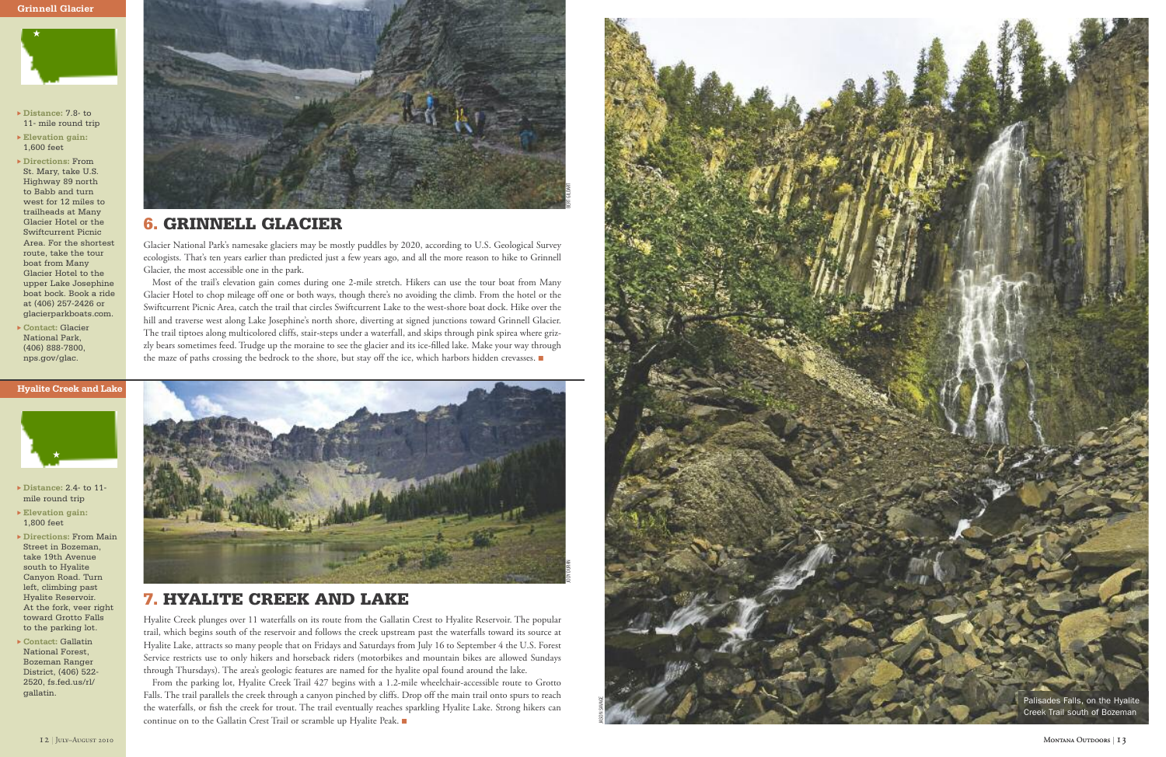



- ▶ Distance: 7.8- to 11- mile round trip
- $\blacktriangleright$  **Elevation** gain: 1,600 feet

 $\blacktriangleright$  Directions: From St. Mary, take U.S. Highway 89 north to Babb and turn west for 12 miles to trailheads at Many Glacier Hotel or the Swiftcurrent Picnic Area. For the shortest route, take the tour boat from Many Glacier Hotel to the upper Lake Josephine boat bock. Book a ride at (406) 257-2426 or glacierparkboats.com.

 $\triangleright$  Contact: Glacier National Park, (406) 888-7800, nps.gov/glac.



### **Hyalite Creek and Lake**

- $\blacktriangleright$  Distance: 2.4- to 11mile round trip
- $\blacktriangleright$  **Elevation** gain: 1,800 feet
- $\triangleright$  Directions: From Main Street in Bozeman, take 19th Avenue south to Hyalite Canyon Road. Turn left, climbing past Hyalite Reservoir. At the fork, veer right toward Grotto Falls to the parking lot.
- $\triangleright$  Contact: Gallatin National Forest, Bozeman Ranger District, (406) 522-2520, fs.fed.us/rl/ gallatin.



# **7.** HYALITE CREEK AND LAKE

Hyalite Creek plunges over 11 waterfalls on its route from the Gallatin Crest to Hyalite Reservoir. The popular trail, which begins south of the reservoir and follows the creek upstream past the waterfalls toward its source at Hyalite Lake, attracts so many people that on Fridays and Saturdays from July 16 to September 4 the U.S. Forest Service restricts use to only hikers and horseback riders (motorbikes and mountain bikes are allowed Sundays through Thursdays). The area's geologic features are named for the hyalite opal found around the lake.

From the parking lot, Hyalite Creek Trail 427 begins with a 1.2-mile wheelchair-accessible route to Grotto Falls. The trail parallels the creek through a canyon pinched by cliffs. Drop off the main trail onto spurs to reach the waterfalls, or fish the creek for trout. The trail eventually reaches sparkling Hyalite Lake. Strong hikers can continue on to the Gallatin Crest Trail or scramble up Hyalite Peak.



### **6.** GRINNELL GLACIER

Glacier National Park's namesake glaciers may be mostly puddles by 2020, according to U.S. Geological Survey ecologists. That's ten years earlier than predicted just a few years ago, and all the more reason to hike to Grinnell Glacier, the most accessible one in the park.

Most of the trail's elevation gain comes during one 2-mile stretch. Hikers can use the tour boat from Many Glacier Hotel to chop mileage off one or both ways, though there's no avoiding the climb. From the hotel or the Swiftcurrent Picnic Area, catch the trail that circles Swiftcurrent Lake to the west-shore boat dock. Hike over the hill and traverse west along Lake Josephine's north shore, diverting at signed junctions toward Grinnell Glacier. The trail tiptoes along multicolored cliffs, stair-steps under a waterfall, and skips through pink spirea where grizzly bears sometimes feed. Trudge up the moraine to see the glacier and its ice-filled lake. Make your way through the maze of paths crossing the bedrock to the shore, but stay off the ice, which harbors hidden crevasses. ■